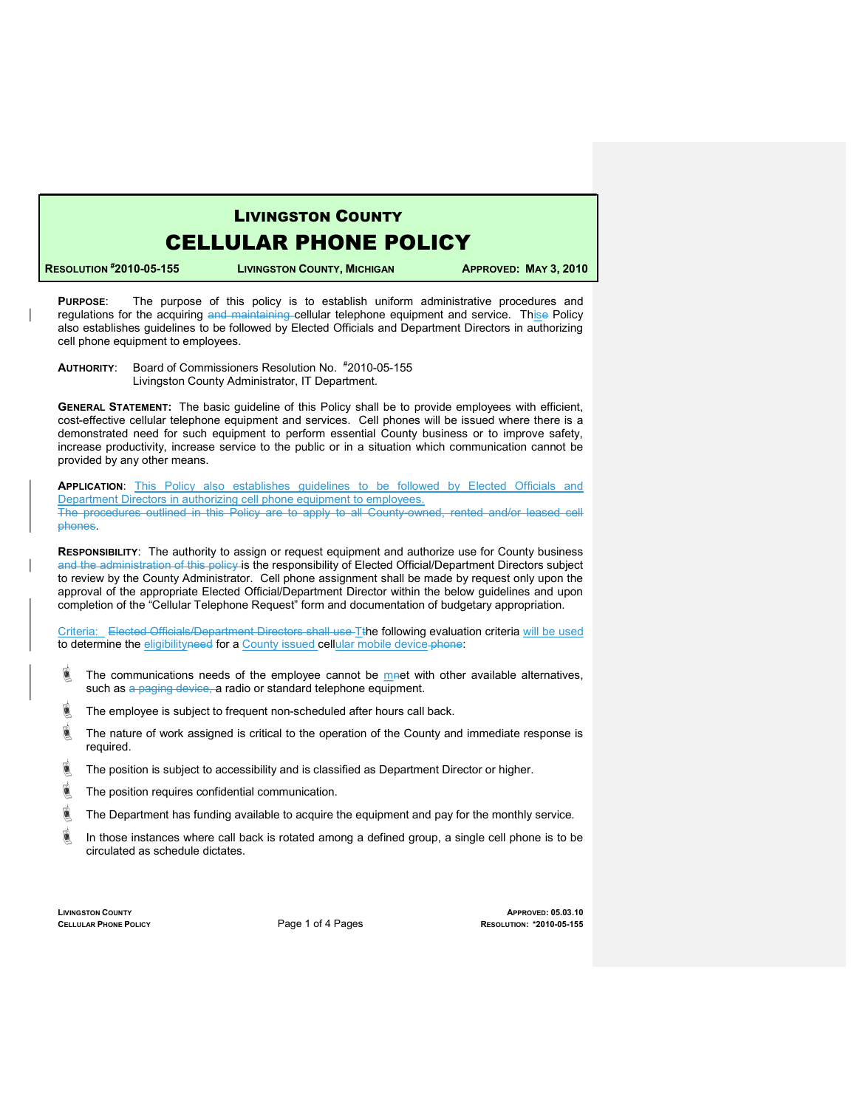## LIVINGSTON COUNTY

## CELLULAR PHONE POLICY

RESOLUTION #2010-05-155 LIVINGSTON COUNTY, MICHIGAN APPROVED: MAY 3, 2010

PURPOSE: The purpose of this policy is to establish uniform administrative procedures and regulations for the acquiring and maintaining cellular telephone equipment and service. Thise Policy also establishes guidelines to be followed by Elected Officials and Department Directors in authorizing cell phone equipment to employees.

AUTHORITY: Board of Commissioners Resolution No. #2010-05-155 Livingston County Administrator, IT Department.

GENERAL STATEMENT: The basic guideline of this Policy shall be to provide employees with efficient, cost-effective cellular telephone equipment and services. Cell phones will be issued where there is a demonstrated need for such equipment to perform essential County business or to improve safety, increase productivity, increase service to the public or in a situation which communication cannot be provided by any other means.

**APPLICATION:** This Policy also establishes guidelines to be followed by Elected Officials and Department Directors in authorizing cell phone equipment to employees. The procedures outlined in this Policy are to apply to all County-owned, rented and/or leased cell phones.

RESPONSIBILITY: The authority to assign or request equipment and authorize use for County business and the administration of this policy is the responsibility of Elected Official/Department Directors subject to review by the County Administrator. Cell phone assignment shall be made by request only upon the approval of the appropriate Elected Official/Department Director within the below guidelines and upon completion of the "Cellular Telephone Request" form and documentation of budgetary appropriation.

Criteria: Elected Officials/Department Directors shall use Tthe following evaluation criteria will be used to determine the eligibilityneed for a County issued cellular mobile device-phone:

- **IF The communications needs of the employee cannot be met with other available alternatives,** such as a paging device, a radio or standard telephone equipment.
- **If a** The employee is subject to frequent non-scheduled after hours call back.
- $\stackrel{\triangle}{\bullet}$  The nature of work assigned is critical to the operation of the County and immediate response is required.
- $\blacksquare$  The position is subject to accessibility and is classified as Department Director or higher.
- **If** The position requires confidential communication.
- **If** The Department has funding available to acquire the equipment and pay for the monthly service.
- $\blacksquare$  In those instances where call back is rotated among a defined group, a single cell phone is to be circulated as schedule dictates.

LIVINGSTON COUNTY APPROVED: 05.03.10 CELLULAR PHONE POLICY **Page 1 of 4 Pages** RESOLUTION: \*2010-05-155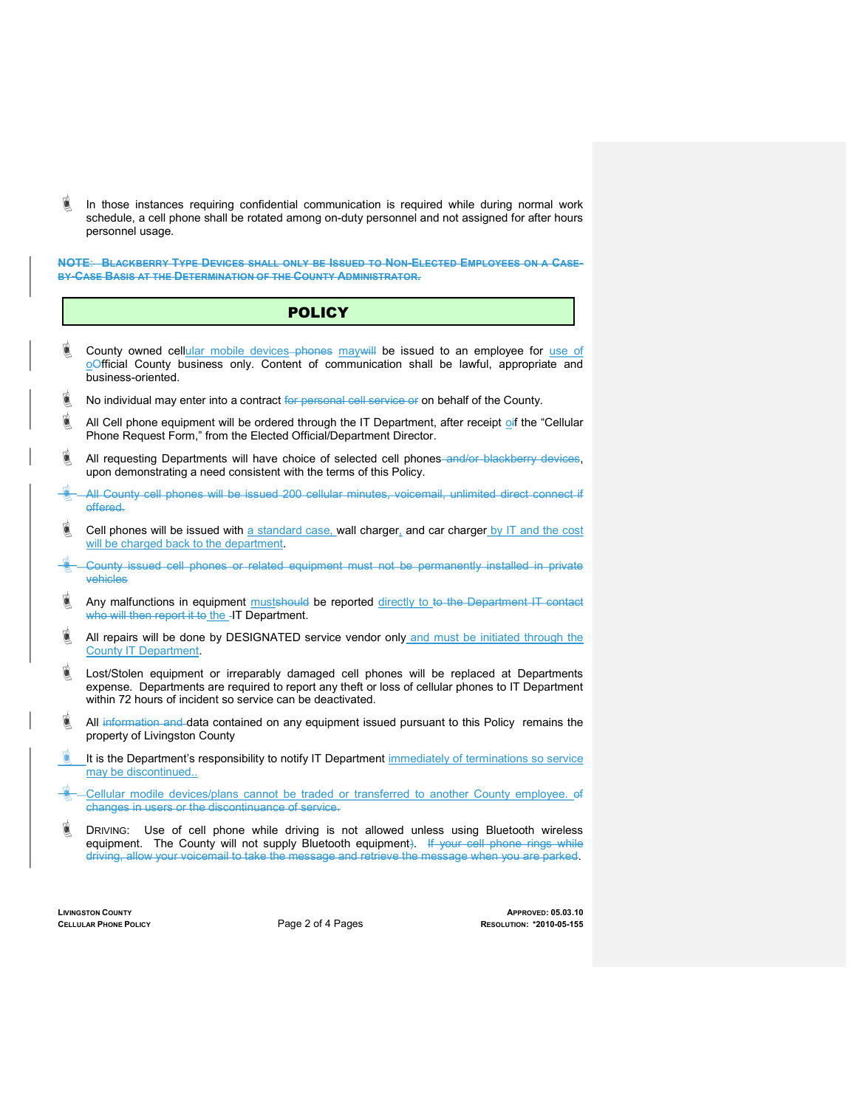In those instances requiring confidential communication is required while during normal work schedule, a cell phone shall be rotated among on-duty personnel and not assigned for after hours personnel usage.

NOTE: BLACKBERRY TYPE DEVICES SHALL ONLY BE ISSUED TO NON-ELECTED EMPLOYEES ON A CASE-BY-CASE BASIS AT THE DETERMINATION OF THE COUNTY ADMINISTRATOR.

### **POLICY**

- **County owned cellular mobile devices** phones may will be issued to an employee for use of oOfficial County business only. Content of communication shall be lawful, appropriate and business-oriented.
- **No individual may enter into a contract <del>for personal cell service or</del> on behalf of the County.**
- All Cell phone equipment will be ordered through the IT Department, after receipt of the "Cellular Phone Request Form," from the Elected Official/Department Director.
- **All requesting Departments will have choice of selected cell phones** and/or blackberry devices, upon demonstrating a need consistent with the terms of this Policy.
- All County cell phones will be issued 200 cellular minutes, voicemail, unlimited direct connect if offered.
- $\blacksquare$  Cell phones will be issued with a standard case, wall charger, and car charger by IT and the cost will be charged back to the department.
- County issued cell phones or related equipment must not be permanently installed in private vehicles
- Any malfunctions in equipment mustshould be reported directly to to the Department IT contact who will then report it to the -IT Department.
- $\blacksquare$  All repairs will be done by DESIGNATED service vendor only and must be initiated through the County IT Department.
- **Industigm** Lost/Stolen equipment or irreparably damaged cell phones will be replaced at Departments expense. Departments are required to report any theft or loss of cellular phones to IT Department within 72 hours of incident so service can be deactivated.
- **All information and data contained on any equipment issued pursuant to this Policy remains the** property of Livingston County
- It is the Department's responsibility to notify IT Department immediately of terminations so service may be discontinued..
- Cellular modile devices/plans cannot be traded or transferred to another County employee. of changes in users or the discontinuance of service.
- **Indust MIC** DRIVING: Use of cell phone while driving is not allowed unless using Bluetooth wireless equipment. The County will not supply Bluetooth equipment). If your cell phone rings while driving, allow your voicemail to take the message and retrieve the message when you are parked.

LIVINGSTON COUNTY APPROVED: 05.03.10 CELLULAR PHONE POLICY **Page 2 of 4 Pages** RESOLUTION: \*2010-05-155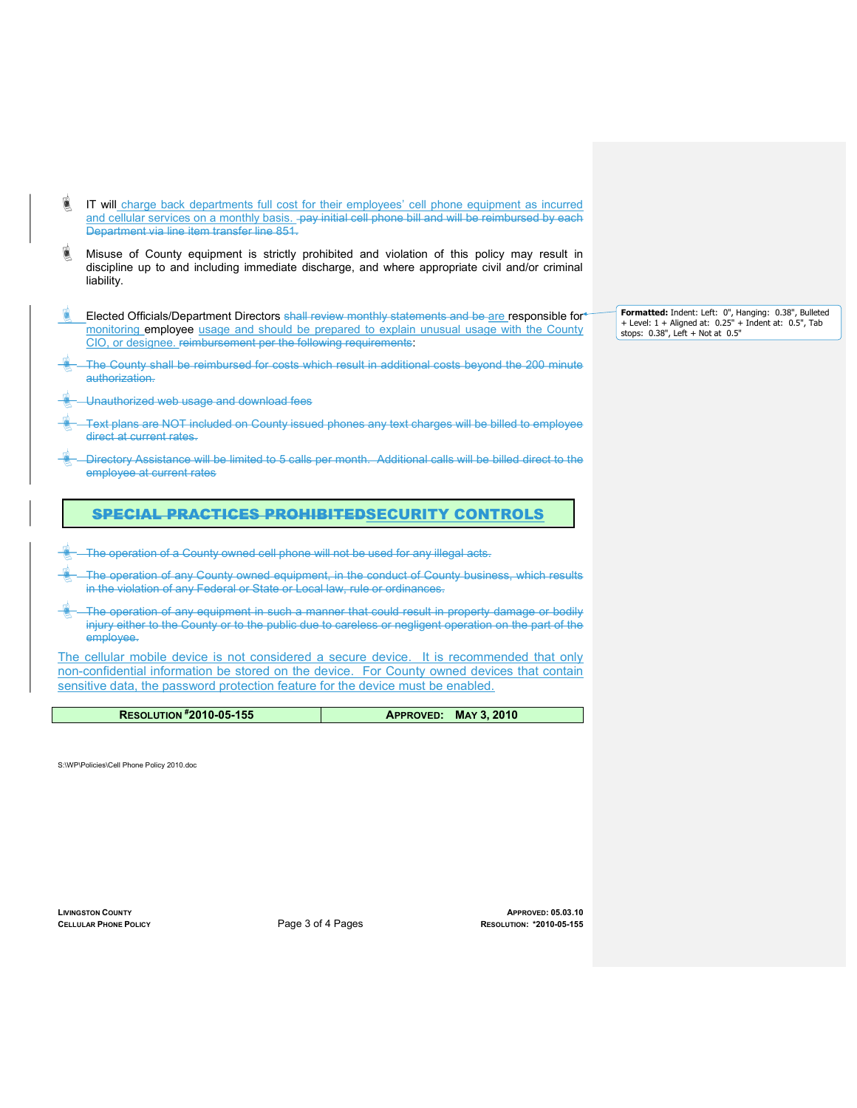- IT will charge back departments full cost for their employees' cell phone equipment as incurred and cellular services on a monthly basis. pay initial cell phone bill and will be reimbursed by each Department via line item transfer line 851.
- **In Misuse of County equipment is strictly prohibited and violation of this policy may result in** discipline up to and including immediate discharge, and where appropriate civil and/or criminal liability.
- Elected Officials/Department Directors shall review monthly statements and be are responsible for monitoring employee usage and should be prepared to explain unusual usage with the County CIO, or designee. reimbursement per the following requirements:
- The County shall be reimbursed for costs which result in additional costs beyond the 200 minute authorization.
- Unauthorized web usage and download fees
- Text plans are NOT included on County issued phones any text charges will be billed to employee direct at current rates.
- Directory Assistance will be limited to 5 calls per month. Additional calls will be billed direct to the employee at current rates

#### SPECIAL PRACTICES PROHIBITEDSECURITY CONTROLS

- The operation of a County owned cell phone will not be used for any illegal acts.
- The operation of any County owned equipment, in the conduct of County business, which results in the violation of any Federal or State or Local law, rule or ordinances.
- The operation of any equipment in such a manner that could result in property damage or bodily injury either to the County or to the public due to careless or negligent operation on the part of the employee.

The cellular mobile device is not considered a secure device. It is recommended that only non-confidential information be stored on the device. For County owned devices that contain sensitive data, the password protection feature for the device must be enabled.

| <b>RESOLUTION #2010-05-155</b> | APPROVED: MAY 3, 2010 |
|--------------------------------|-----------------------|

S:\WP\Policies\Cell Phone Policy 2010.doc

LIVINGSTON COUNTY APPROVED: 05.03.10 CELLULAR PHONE POLICY **Page 3 of 4 Pages** RESOLUTION: \*2010-05-155 Formatted: Indent: Left: 0", Hanging: 0.38", Bulleted + Level: 1 + Aligned at: 0.25" + Indent at: 0.5", Tab stops: 0.38", Left + Not at 0.5"